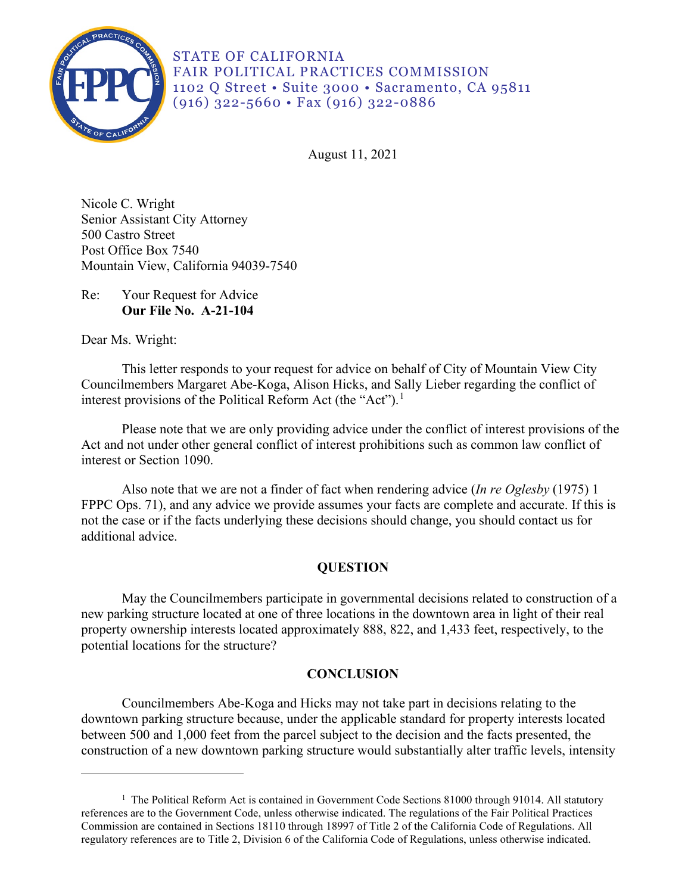

STATE OF CALIFORNIA FAIR POLITICAL PRACTICES COMMISSION 1102 Q Street • Suite 3000 • Sacramento, CA 95811 (916) 322-5660 • Fax (916) 322-0886

August 11, 2021

500 Castro Street Nicole C. Wright Senior Assistant City Attorney Post Office Box 7540 Mountain View, California 94039-7540

## Re: Your Request for Advice **Our File No. A-21-104**

Dear Ms. Wright:

This letter responds to your request for advice on behalf of City of Mountain View City Councilmembers Margaret Abe-Koga, Alison Hicks, and Sally Lieber regarding the conflict of interest provisions of the Political Reform Act (the "Act").<sup>[1](#page-0-0)</sup>

 Act and not under other general conflict of interest prohibitions such as common law conflict of Please note that we are only providing advice under the conflict of interest provisions of the interest or Section 1090.

 additional advice. Also note that we are not a finder of fact when rendering advice (*In re Oglesby* (1975) 1 FPPC Ops. 71), and any advice we provide assumes your facts are complete and accurate. If this is not the case or if the facts underlying these decisions should change, you should contact us for

# **QUESTION**

May the Councilmembers participate in governmental decisions related to construction of a new parking structure located at one of three locations in the downtown area in light of their real property ownership interests located approximately 888, 822, and 1,433 feet, respectively, to the potential locations for the structure?

# **CONCLUSION**

 downtown parking structure because, under the applicable standard for property interests located Councilmembers Abe-Koga and Hicks may not take part in decisions relating to the between 500 and 1,000 feet from the parcel subject to the decision and the facts presented, the construction of a new downtown parking structure would substantially alter traffic levels, intensity

<span id="page-0-0"></span><sup>&</sup>lt;sup>1</sup> The Political Reform Act is contained in Government Code Sections 81000 through 91014. All statutory references are to the Government Code, unless otherwise indicated. The regulations of the Fair Political Practices Commission are contained in Sections 18110 through 18997 of Title 2 of the California Code of Regulations. All regulatory references are to Title 2, Division 6 of the California Code of Regulations, unless otherwise indicated.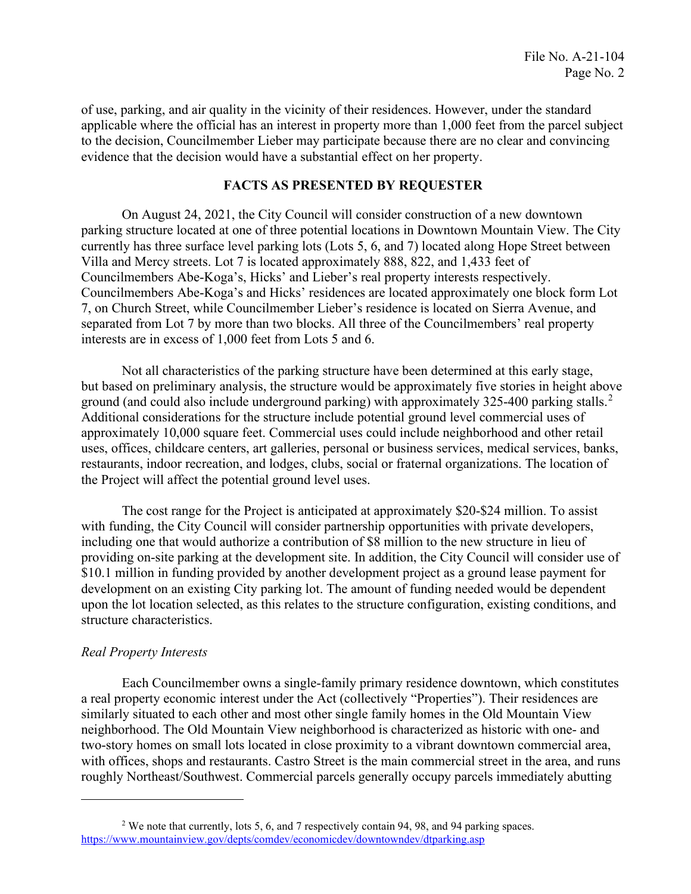of use, parking, and air quality in the vicinity of their residences. However, under the standard evidence that the decision would have a substantial effect on her property. applicable where the official has an interest in property more than 1,000 feet from the parcel subject to the decision, Councilmember Lieber may participate because there are no clear and convincing

### **FACTS AS PRESENTED BY REQUESTER**

 On August 24, 2021, the City Council will consider construction of a new downtown Councilmembers Abe-Koga's and Hicks' residences are located approximately one block form Lot interests are in excess of 1,000 feet from Lots 5 and 6. parking structure located at one of three potential locations in Downtown Mountain View. The City currently has three surface level parking lots (Lots 5, 6, and 7) located along Hope Street between Villa and Mercy streets. Lot 7 is located approximately 888, 822, and 1,433 feet of Councilmembers Abe-Koga's, Hicks' and Lieber's real property interests respectively. 7, on Church Street, while Councilmember Lieber's residence is located on Sierra Avenue, and separated from Lot 7 by more than two blocks. All three of the Councilmembers' real property

Not all characteristics of the parking structure have been determined at this early stage, but based on preliminary analysis, the structure would be approximately five stories in height above ground (and could also include underground parking) with approximately 3[2](#page-1-0)5-400 parking stalls.<sup>2</sup><br>Additional considerations for the structure include potential ground level commercial uses of approximately 10,000 square feet. Commercial uses could include neighborhood and other retail uses, offices, childcare centers, art galleries, personal or business services, medical services, banks, restaurants, indoor recreation, and lodges, clubs, social or fraternal organizations. The location of the Project will affect the potential ground level uses.

 \$10.1 million in funding provided by another development project as a ground lease payment for Additional considerations for the structure include potential ground level commercial uses of<br>sugse, offices, childcare centers, art galleries, personal or business services, medical services, the<br>structure includes to the The cost range for the Project is anticipated at approximately \$20-\$24 million. To assist with funding, the City Council will consider partnership opportunities with private developers, including one that would authorize a contribution of \$8 million to the new structure in lieu of providing on-site parking at the development site. In addition, the City Council will consider use of development on an existing City parking lot. The amount of funding needed would be dependent upon the lot location selected, as this relates to the structure configuration, existing conditions, and structure characteristics.

### *Real Property Interests*

Each Councilmember owns a single-family primary residence downtown, which constitutes a real property economic interest under the Act (collectively "Properties"). Their residences are similarly situated to each other and most other single family homes in the Old Mountain View neighborhood. The Old Mountain View neighborhood is characterized as historic with one- and two-story homes on small lots located in close proximity to a vibrant downtown commercial area, with offices, shops and restaurants. Castro Street is the main commercial street in the area, and runs roughly Northeast/Southwest. Commercial parcels generally occupy parcels immediately abutting

<span id="page-1-0"></span>https://www.mountainview.gov/depts/comdev/economicdev/downtowndev/dtparking.asp <sup>2</sup> We note that currently, lots 5, 6, and 7 respectively contain 94, 98, and 94 parking spaces.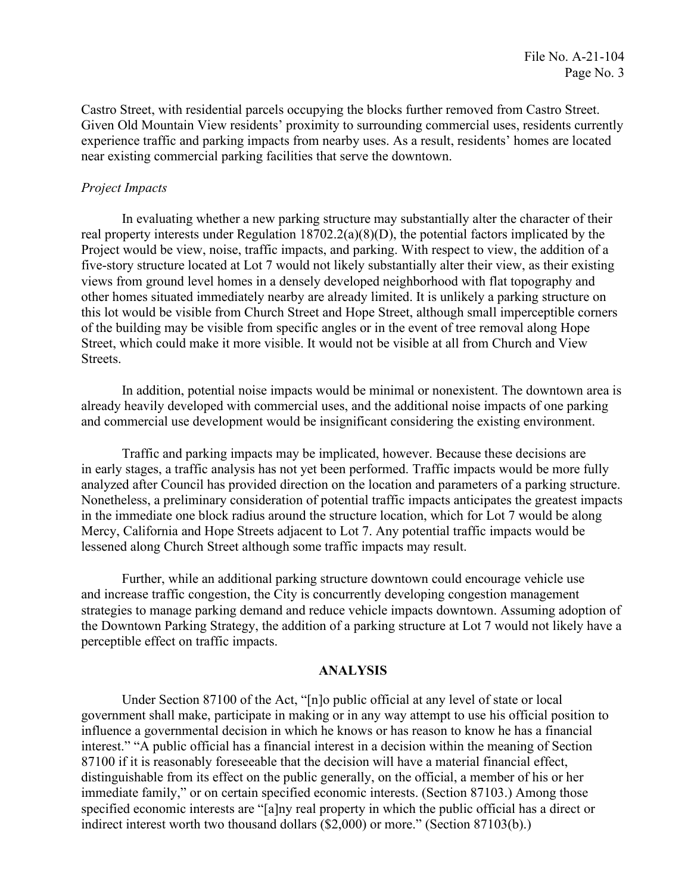Castro Street, with residential parcels occupying the blocks further removed from Castro Street. Given Old Mountain View residents' proximity to surrounding commercial uses, residents currently experience traffic and parking impacts from nearby uses. As a result, residents' homes are located near existing commercial parking facilities that serve the downtown.

### *Project Impacts*

In evaluating whether a new parking structure may substantially alter the character of their real property interests under Regulation 18702.2(a)(8)(D), the potential factors implicated by the Project would be view, noise, traffic impacts, and parking. With respect to view, the addition of a five-story structure located at Lot 7 would not likely substantially alter their view, as their existing views from ground level homes in a densely developed neighborhood with flat topography and other homes situated immediately nearby are already limited. It is unlikely a parking structure on this lot would be visible from Church Street and Hope Street, although small imperceptible corners of the building may be visible from specific angles or in the event of tree removal along Hope Street, which could make it more visible. It would not be visible at all from Church and View Streets.

In addition, potential noise impacts would be minimal or nonexistent. The downtown area is already heavily developed with commercial uses, and the additional noise impacts of one parking and commercial use development would be insignificant considering the existing environment.

Traffic and parking impacts may be implicated, however. Because these decisions are in early stages, a traffic analysis has not yet been performed. Traffic impacts would be more fully analyzed after Council has provided direction on the location and parameters of a parking structure. Nonetheless, a preliminary consideration of potential traffic impacts anticipates the greatest impacts in the immediate one block radius around the structure location, which for Lot 7 would be along Mercy, California and Hope Streets adjacent to Lot 7. Any potential traffic impacts would be lessened along Church Street although some traffic impacts may result.

Further, while an additional parking structure downtown could encourage vehicle use and increase traffic congestion, the City is concurrently developing congestion management strategies to manage parking demand and reduce vehicle impacts downtown. Assuming adoption of the Downtown Parking Strategy, the addition of a parking structure at Lot 7 would not likely have a perceptible effect on traffic impacts.

### **ANALYSIS**

 influence a governmental decision in which he knows or has reason to know he has a financial Under Section 87100 of the Act, "[n]o public official at any level of state or local government shall make, participate in making or in any way attempt to use his official position to interest." "A public official has a financial interest in a decision within the meaning of Section 87100 if it is reasonably foreseeable that the decision will have a material financial effect, distinguishable from its effect on the public generally, on the official, a member of his or her immediate family," or on certain specified economic interests. (Section 87103.) Among those specified economic interests are "[a]ny real property in which the public official has a direct or indirect interest worth two thousand dollars (\$2,000) or more." (Section 87103(b).)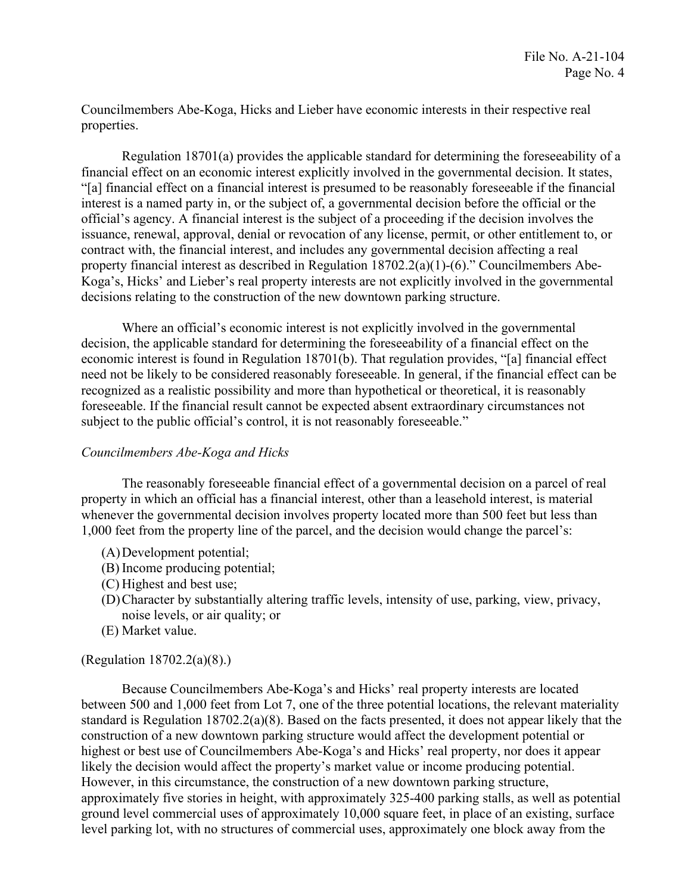Councilmembers Abe-Koga, Hicks and Lieber have economic interests in their respective real properties.

 "[a] financial effect on a financial interest is presumed to be reasonably foreseeable if the financial Regulation 18701(a) provides the applicable standard for determining the foreseeability of a financial effect on an economic interest explicitly involved in the governmental decision. It states, interest is a named party in, or the subject of, a governmental decision before the official or the official's agency. A financial interest is the subject of a proceeding if the decision involves the issuance, renewal, approval, denial or revocation of any license, permit, or other entitlement to, or contract with, the financial interest, and includes any governmental decision affecting a real property financial interest as described in Regulation 18702.2(a)(1)-(6)." Councilmembers Abe-Koga's, Hicks' and Lieber's real property interests are not explicitly involved in the governmental decisions relating to the construction of the new downtown parking structure.

 economic interest is found in Regulation 18701(b). That regulation provides, "[a] financial effect recognized as a realistic possibility and more than hypothetical or theoretical, it is reasonably Where an official's economic interest is not explicitly involved in the governmental decision, the applicable standard for determining the foreseeability of a financial effect on the need not be likely to be considered reasonably foreseeable. In general, if the financial effect can be foreseeable. If the financial result cannot be expected absent extraordinary circumstances not subject to the public official's control, it is not reasonably foreseeable."

### *Councilmembers Abe-Koga and Hicks*

The reasonably foreseeable financial effect of a governmental decision on a parcel of real property in which an official has a financial interest, other than a leasehold interest, is material whenever the governmental decision involves property located more than 500 feet but less than 1,000 feet from the property line of the parcel, and the decision would change the parcel's:

- (A)Development potential;
- (B) Income producing potential;
- (C) Highest and best use;
- (D)Character by substantially altering traffic levels, intensity of use, parking, view, privacy, noise levels, or air quality; or
- (E) Market value.

# (Regulation 18702.2(a)(8).)

 Because Councilmembers Abe-Koga's and Hicks' real property interests are located between 500 and 1,000 feet from Lot 7, one of the three potential locations, the relevant materiality standard is Regulation 18702.2(a)(8). Based on the facts presented, it does not appear likely that the construction of a new downtown parking structure would affect the development potential or highest or best use of Councilmembers Abe-Koga's and Hicks' real property, nor does it appear likely the decision would affect the property's market value or income producing potential. However, in this circumstance, the construction of a new downtown parking structure, approximately five stories in height, with approximately 325-400 parking stalls, as well as potential ground level commercial uses of approximately 10,000 square feet, in place of an existing, surface level parking lot, with no structures of commercial uses, approximately one block away from the